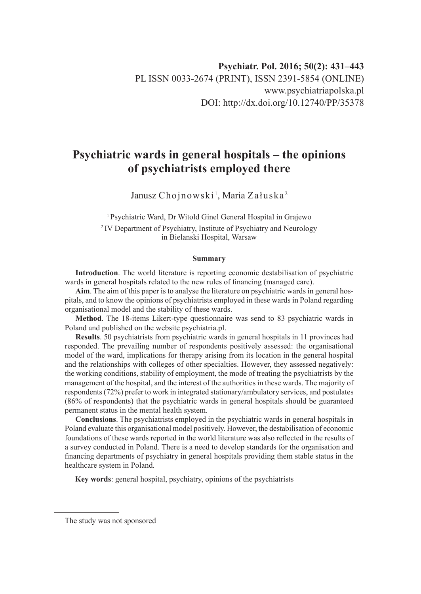# **Psychiatric wards in general hospitals – the opinions of psychiatrists employed there**

Janusz Chojnowski<sup>1</sup>, Maria Załuska<sup>2</sup>

<sup>1</sup> Psychiatric Ward, Dr Witold Ginel General Hospital in Grajewo <sup>2</sup> IV Department of Psychiatry, Institute of Psychiatry and Neurology in Bielanski Hospital, Warsaw

#### **Summary**

**Introduction**. The world literature is reporting economic destabilisation of psychiatric wards in general hospitals related to the new rules of financing (managed care).

**Aim**. The aim of this paper is to analyse the literature on psychiatric wards in general hospitals, and to know the opinions of psychiatrists employed in these wards in Poland regarding organisational model and the stability of these wards.

**Method**. The 18-items Likert-type questionnaire was send to 83 psychiatric wards in Poland and published on the website psychiatria.pl.

**Results**. 50 psychiatrists from psychiatric wards in general hospitals in 11 provinces had responded. The prevailing number of respondents positively assessed: the organisational model of the ward, implications for therapy arising from its location in the general hospital and the relationships with colleges of other specialties. However, they assessed negatively: the working conditions, stability of employment, the mode of treating the psychiatrists by the management of the hospital, and the interest of the authorities in these wards. The majority of respondents (72%) prefer to work in integrated stationary/ambulatory services, and postulates (86% of respondents) that the psychiatric wards in general hospitals should be guaranteed permanent status in the mental health system.

**Conclusions**. The psychiatrists employed in the psychiatric wards in general hospitals in Poland evaluate this organisational model positively. However, the destabilisation of economic foundations of these wards reported in the world literature was also reflected in the results of a survey conducted in Poland. There is a need to develop standards for the organisation and financing departments of psychiatry in general hospitals providing them stable status in the healthcare system in Poland.

**Key words**: general hospital, psychiatry, opinions of the psychiatrists

The study was not sponsored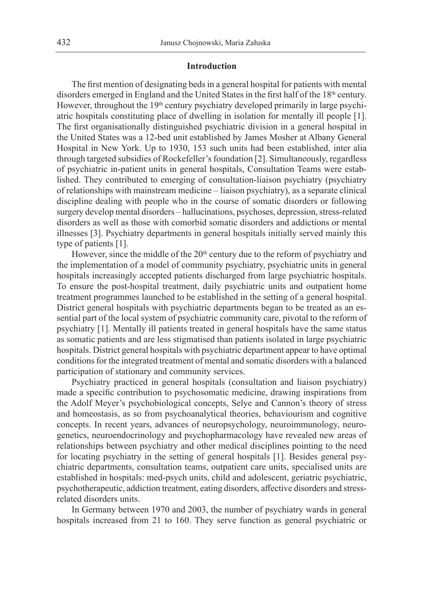### **Introduction**

The first mention of designating beds in a general hospital for patients with mental disorders emerged in England and the United States in the first half of the 18<sup>th</sup> century. However, throughout the 19<sup>th</sup> century psychiatry developed primarily in large psychiatric hospitals constituting place of dwelling in isolation for mentally ill people [1]. The first organisationally distinguished psychiatric division in a general hospital in the United States was a 12-bed unit established by James Mosher at Albany General Hospital in New York. Up to 1930, 153 such units had been established, inter alia through targeted subsidies of Rockefeller's foundation [2]. Simultaneously, regardless of psychiatric in-patient units in general hospitals, Consultation Teams were established. They contributed to emerging of consultation-liaison psychiatry (psychiatry of relationships with mainstream medicine – liaison psychiatry), as a separate clinical discipline dealing with people who in the course of somatic disorders or following surgery develop mental disorders – hallucinations, psychoses, depression, stress-related disorders as well as those with comorbid somatic disorders and addictions or mental illnesses [3]. Psychiatry departments in general hospitals initially served mainly this type of patients [1].

However, since the middle of the  $20<sup>th</sup>$  century due to the reform of psychiatry and the implementation of a model of community psychiatry, psychiatric units in general hospitals increasingly accepted patients discharged from large psychiatric hospitals. To ensure the post-hospital treatment, daily psychiatric units and outpatient home treatment programmes launched to be established in the setting of a general hospital. District general hospitals with psychiatric departments began to be treated as an essential part of the local system of psychiatric community care, pivotal to the reform of psychiatry [1]. Mentally ill patients treated in general hospitals have the same status as somatic patients and are less stigmatised than patients isolated in large psychiatric hospitals. District general hospitals with psychiatric department appear to have optimal conditions for the integrated treatment of mental and somatic disorders with a balanced participation of stationary and community services.

Psychiatry practiced in general hospitals (consultation and liaison psychiatry) made a specific contribution to psychosomatic medicine, drawing inspirations from the Adolf Meyer's psychobiological concepts, Selye and Cannon's theory of stress and homeostasis, as so from psychoanalytical theories, behaviourism and cognitive concepts. In recent years, advances of neuropsychology, neuroimmunology, neurogenetics, neuroendocrinology and psychopharmacology have revealed new areas of relationships between psychiatry and other medical disciplines pointing to the need for locating psychiatry in the setting of general hospitals [1]. Besides general psychiatric departments, consultation teams, outpatient care units, specialised units are established in hospitals: med-psych units, child and adolescent, geriatric psychiatric, psychotherapeutic, addiction treatment, eating disorders, affective disorders and stressrelated disorders units.

In Germany between 1970 and 2003, the number of psychiatry wards in general hospitals increased from 21 to 160. They serve function as general psychiatric or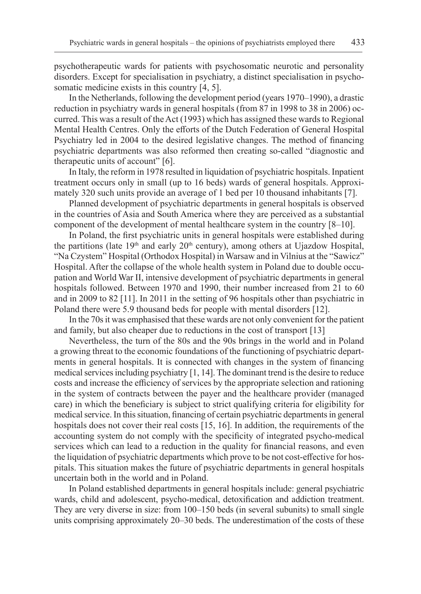psychotherapeutic wards for patients with psychosomatic neurotic and personality disorders. Except for specialisation in psychiatry, a distinct specialisation in psychosomatic medicine exists in this country [4, 5].

In the Netherlands, following the development period (years 1970–1990), a drastic reduction in psychiatry wards in general hospitals (from 87 in 1998 to 38 in 2006) occurred. This was a result of the Act (1993) which has assigned these wards to Regional Mental Health Centres. Only the efforts of the Dutch Federation of General Hospital Psychiatry led in 2004 to the desired legislative changes. The method of financing psychiatric departments was also reformed then creating so-called "diagnostic and therapeutic units of account" [6].

In Italy, the reform in 1978 resulted in liquidation of psychiatric hospitals. Inpatient treatment occurs only in small (up to 16 beds) wards of general hospitals. Approximately 320 such units provide an average of 1 bed per 10 thousand inhabitants [7].

Planned development of psychiatric departments in general hospitals is observed in the countries of Asia and South America where they are perceived as a substantial component of the development of mental healthcare system in the country [8–10].

In Poland, the first psychiatric units in general hospitals were established during the partitions (late  $19<sup>th</sup>$  and early  $20<sup>th</sup>$  century), among others at Ujazdow Hospital, "Na Czystem" Hospital (Orthodox Hospital) in Warsaw and in Vilnius at the "Sawicz" Hospital. After the collapse of the whole health system in Poland due to double occupation and World War II, intensive development of psychiatric departments in general hospitals followed. Between 1970 and 1990, their number increased from 21 to 60 and in 2009 to 82 [11]. In 2011 in the setting of 96 hospitals other than psychiatric in Poland there were 5.9 thousand beds for people with mental disorders [12].

In the 70s it was emphasised that these wards are not only convenient for the patient and family, but also cheaper due to reductions in the cost of transport [13]

Nevertheless, the turn of the 80s and the 90s brings in the world and in Poland a growing threat to the economic foundations of the functioning of psychiatric departments in general hospitals. It is connected with changes in the system of financing medical services including psychiatry [1, 14]. The dominant trend is the desire to reduce costs and increase the efficiency of services by the appropriate selection and rationing in the system of contracts between the payer and the healthcare provider (managed care) in which the beneficiary is subject to strict qualifying criteria for eligibility for medical service. In this situation, financing of certain psychiatric departments in general hospitals does not cover their real costs [15, 16]. In addition, the requirements of the accounting system do not comply with the specificity of integrated psycho-medical services which can lead to a reduction in the quality for financial reasons, and even the liquidation of psychiatric departments which prove to be not cost-effective for hospitals. This situation makes the future of psychiatric departments in general hospitals uncertain both in the world and in Poland.

In Poland established departments in general hospitals include: general psychiatric wards, child and adolescent, psycho-medical, detoxification and addiction treatment. They are very diverse in size: from 100–150 beds (in several subunits) to small single units comprising approximately 20–30 beds. The underestimation of the costs of these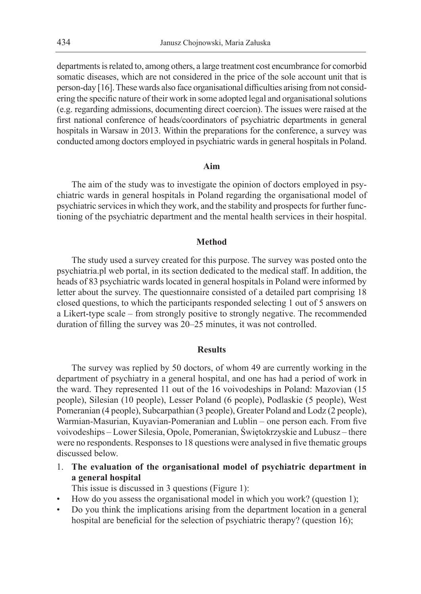departments is related to, among others, a large treatment cost encumbrance for comorbid somatic diseases, which are not considered in the price of the sole account unit that is person-day [16]. These wards also face organisational difficulties arising from not considering the specific nature of their work in some adopted legal and organisational solutions (e.g. regarding admissions, documenting direct coercion). The issues were raised at the first national conference of heads/coordinators of psychiatric departments in general hospitals in Warsaw in 2013. Within the preparations for the conference, a survey was conducted among doctors employed in psychiatric wards in general hospitals in Poland.

#### **Aim**

The aim of the study was to investigate the opinion of doctors employed in psychiatric wards in general hospitals in Poland regarding the organisational model of psychiatric services in which they work, and the stability and prospects for further functioning of the psychiatric department and the mental health services in their hospital.

#### **Method**

The study used a survey created for this purpose. The survey was posted onto the psychiatria.pl web portal, in its section dedicated to the medical staff. In addition, the heads of 83 psychiatric wards located in general hospitals in Poland were informed by letter about the survey. The questionnaire consisted of a detailed part comprising 18 closed questions, to which the participants responded selecting 1 out of 5 answers on a Likert-type scale – from strongly positive to strongly negative. The recommended duration of filling the survey was 20–25 minutes, it was not controlled.

#### **Results**

The survey was replied by 50 doctors, of whom 49 are currently working in the department of psychiatry in a general hospital, and one has had a period of work in the ward. They represented 11 out of the 16 voivodeships in Poland: Mazovian (15 people), Silesian (10 people), Lesser Poland (6 people), Podlaskie (5 people), West Pomeranian (4 people), Subcarpathian (3 people), Greater Poland and Lodz (2 people), Warmian-Masurian, Kuyavian-Pomeranian and Lublin – one person each. From five voivodeships – Lower Silesia, Opole, Pomeranian, Świętokrzyskie and Lubusz – there were no respondents. Responses to 18 questions were analysed in five thematic groups discussed below.

1. **The evaluation of the organisational model of psychiatric department in a general hospital**

This issue is discussed in 3 questions (Figure 1):

- How do you assess the organisational model in which you work? (question 1);
- Do you think the implications arising from the department location in a general hospital are beneficial for the selection of psychiatric therapy? (question 16);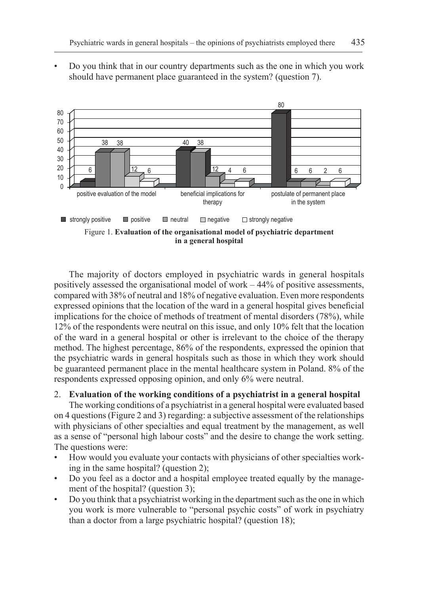• Do you think that in our country departments such as the one in which you work should have permanent place guaranteed in the system? (question 7).



The majority of doctors employed in psychiatric wards in general hospitals positively assessed the organisational model of work – 44% of positive assessments, compared with 38% of neutral and 18% of negative evaluation. Even more respondents expressed opinions that the location of the ward in a general hospital gives beneficial implications for the choice of methods of treatment of mental disorders (78%), while 12% of the respondents were neutral on this issue, and only 10% felt that the location of the ward in a general hospital or other is irrelevant to the choice of the therapy method. The highest percentage, 86% of the respondents, expressed the opinion that the psychiatric wards in general hospitals such as those in which they work should be guaranteed permanent place in the mental healthcare system in Poland. 8% of the respondents expressed opposing opinion, and only 6% were neutral.

#### 2. **Evaluation of the working conditions of a psychiatrist in a general hospital**

The working conditions of a psychiatrist in a general hospital were evaluated based on 4 questions (Figure 2 and 3) regarding: a subjective assessment of the relationships with physicians of other specialties and equal treatment by the management, as well as a sense of "personal high labour costs" and the desire to change the work setting. The questions were:

- How would you evaluate your contacts with physicians of other specialties working in the same hospital? (question 2);
- Do you feel as a doctor and a hospital employee treated equally by the management of the hospital? (question 3);
- Do you think that a psychiatrist working in the department such as the one in which you work is more vulnerable to "personal psychic costs" of work in psychiatry than a doctor from a large psychiatric hospital? (question 18);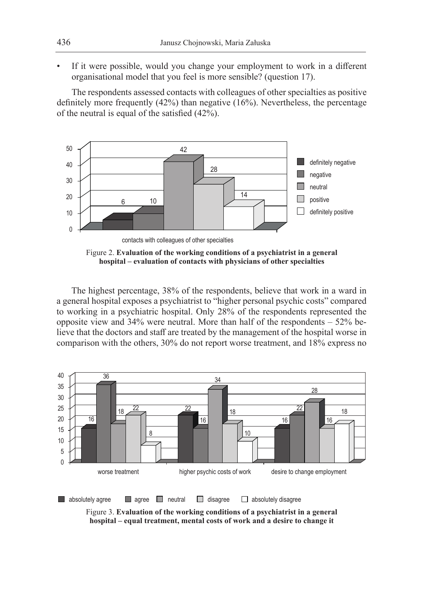If it were possible, would you change your employment to work in a different organisational model that you feel is more sensible? (question 17).

The respondents assessed contacts with colleagues of other specialties as positive definitely more frequently (42%) than negative (16%). Nevertheless, the percentage of the neutral is equal of the satisfied (42%).



Figure 2. **Evaluation of the working conditions of a psychiatrist in a general hospital – evaluation of contacts with physicians of other specialties**

The highest percentage, 38% of the respondents, believe that work in a ward in a general hospital exposes a psychiatrist to "higher personal psychic costs" compared to working in a psychiatric hospital. Only 28% of the respondents represented the opposite view and 34% were neutral. More than half of the respondents – 52% believe that the doctors and staff are treated by the management of the hospital worse in comparison with the others, 30% do not report worse treatment, and 18% express no



Figure 3. **Evaluation of the working conditions of a psychiatrist in a general hospital – equal treatment, mental costs of work and a desire to change it**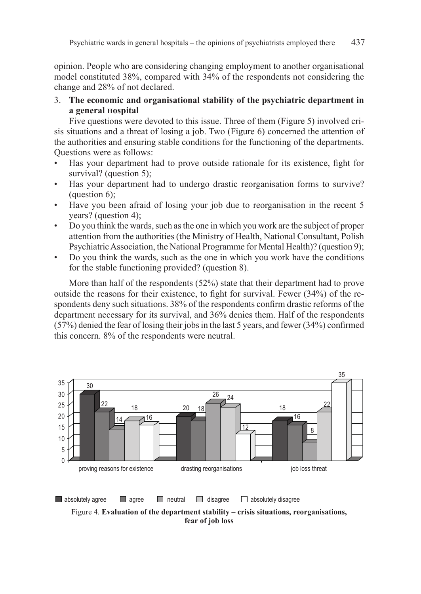opinion. People who are considering changing employment to another organisational model constituted 38%, compared with 34% of the respondents not considering the change and 28% of not declared.

3. **The economic and organisational stability of the psychiatric department in a general hospital**

Five questions were devoted to this issue. Three of them (Figure 5) involved crisis situations and a threat of losing a job. Two (Figure 6) concerned the attention of the authorities and ensuring stable conditions for the functioning of the departments. Questions were as follows:

- Has your department had to prove outside rationale for its existence, fight for survival? (question 5);
- Has your department had to undergo drastic reorganisation forms to survive? (question 6);
- Have you been afraid of losing your job due to reorganisation in the recent 5 years? (question 4);
- Do you think the wards, such as the one in which you work are the subject of proper attention from the authorities (the Ministry of Health, National Consultant, Polish Psychiatric Association, the National Programme for Mental Health)? (question 9);
- Do you think the wards, such as the one in which you work have the conditions for the stable functioning provided? (question 8).

More than half of the respondents (52%) state that their department had to prove outside the reasons for their existence, to fight for survival. Fewer (34%) of the respondents deny such situations. 38% of the respondents confirm drastic reforms of the department necessary for its survival, and 36% denies them. Half of the respondents (57%) denied the fear of losing their jobs in the last 5 years, and fewer (34%) confirmed this concern. 8% of the respondents were neutral.

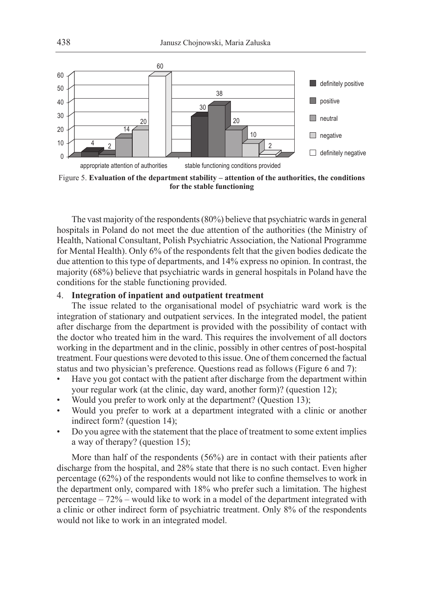

Figure 5. **Evaluation of the department stability – attention of the authorities, the conditions for the stable functioning**

The vast majority of the respondents (80%) believe that psychiatric wards in general hospitals in Poland do not meet the due attention of the authorities (the Ministry of Health, National Consultant, Polish Psychiatric Association, the National Programme for Mental Health). Only 6% of the respondents felt that the given bodies dedicate the due attention to this type of departments, and 14% express no opinion. In contrast, the majority (68%) believe that psychiatric wards in general hospitals in Poland have the conditions for the stable functioning provided.

# 4. **Integration of inpatient and outpatient treatment**

The issue related to the organisational model of psychiatric ward work is the integration of stationary and outpatient services. In the integrated model, the patient after discharge from the department is provided with the possibility of contact with the doctor who treated him in the ward. This requires the involvement of all doctors working in the department and in the clinic, possibly in other centres of post-hospital treatment. Four questions were devoted to this issue. One of them concerned the factual status and two physician's preference. Questions read as follows (Figure 6 and 7):

- Have you got contact with the patient after discharge from the department within your regular work (at the clinic, day ward, another form)? (question 12);
- Would you prefer to work only at the department? (Question 13);
- Would you prefer to work at a department integrated with a clinic or another indirect form? (question 14);
- Do you agree with the statement that the place of treatment to some extent implies a way of therapy? (question 15);

More than half of the respondents (56%) are in contact with their patients after discharge from the hospital, and 28% state that there is no such contact. Even higher percentage (62%) of the respondents would not like to confine themselves to work in the department only, compared with 18% who prefer such a limitation. The highest percentage – 72% – would like to work in a model of the department integrated with a clinic or other indirect form of psychiatric treatment. Only 8% of the respondents would not like to work in an integrated model.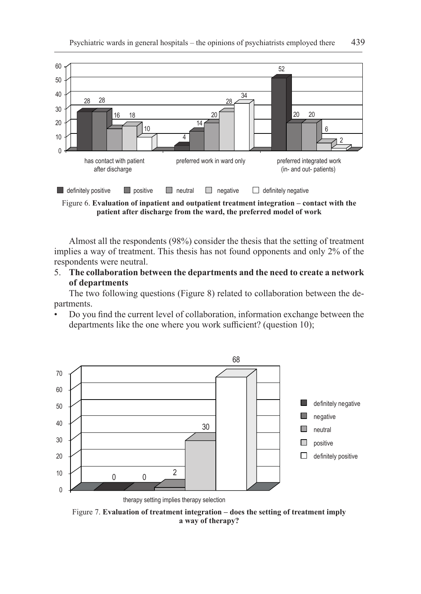

Figure 6. **Evaluation of inpatient and outpatient treatment integration – contact with the patient after discharge from the ward, the preferred model of work**

Almost all the respondents (98%) consider the thesis that the setting of treatment implies a way of treatment. This thesis has not found opponents and only 2% of the respondents were neutral.

5. **The collaboration between the departments and the need to create a network of departments**

The two following questions (Figure 8) related to collaboration between the departments.

• Do you find the current level of collaboration, information exchange between the departments like the one where you work sufficient? (question 10);



Figure 7. **Evaluation of treatment integration – does the setting of treatment imply a way of therapy?**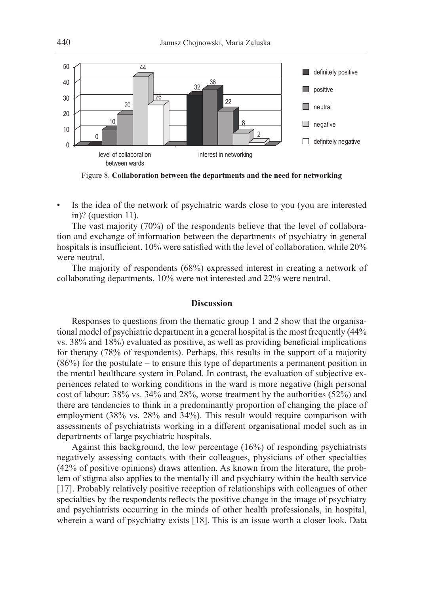

Figure 8. **Collaboration between the departments and the need for networking**

Is the idea of the network of psychiatric wards close to you (you are interested in)? (question 11).

The vast majority (70%) of the respondents believe that the level of collaboration and exchange of information between the departments of psychiatry in general hospitals is insufficient. 10% were satisfied with the level of collaboration, while 20% were neutral.

The majority of respondents (68%) expressed interest in creating a network of collaborating departments, 10% were not interested and 22% were neutral.

# **Discussion**

Responses to questions from the thematic group 1 and 2 show that the organisational model of psychiatric department in a general hospital is the most frequently  $(44\%$ vs. 38% and 18%) evaluated as positive, as well as providing beneficial implications for therapy (78% of respondents). Perhaps, this results in the support of a majority (86%) for the postulate – to ensure this type of departments a permanent position in the mental healthcare system in Poland. In contrast, the evaluation of subjective experiences related to working conditions in the ward is more negative (high personal cost of labour: 38% vs. 34% and 28%, worse treatment by the authorities (52%) and there are tendencies to think in a predominantly proportion of changing the place of employment (38% vs. 28% and 34%). This result would require comparison with assessments of psychiatrists working in a different organisational model such as in departments of large psychiatric hospitals.

Against this background, the low percentage (16%) of responding psychiatrists negatively assessing contacts with their colleagues, physicians of other specialties (42% of positive opinions) draws attention. As known from the literature, the problem of stigma also applies to the mentally ill and psychiatry within the health service [17]. Probably relatively positive reception of relationships with colleagues of other specialties by the respondents reflects the positive change in the image of psychiatry and psychiatrists occurring in the minds of other health professionals, in hospital, wherein a ward of psychiatry exists [18]. This is an issue worth a closer look. Data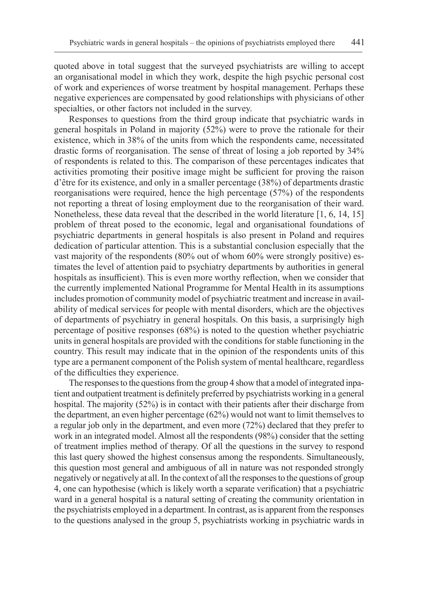quoted above in total suggest that the surveyed psychiatrists are willing to accept an organisational model in which they work, despite the high psychic personal cost of work and experiences of worse treatment by hospital management. Perhaps these negative experiences are compensated by good relationships with physicians of other specialties, or other factors not included in the survey.

Responses to questions from the third group indicate that psychiatric wards in general hospitals in Poland in majority (52%) were to prove the rationale for their existence, which in 38% of the units from which the respondents came, necessitated drastic forms of reorganisation. The sense of threat of losing a job reported by 34% of respondents is related to this. The comparison of these percentages indicates that activities promoting their positive image might be sufficient for proving the raison d'être for its existence, and only in a smaller percentage (38%) of departments drastic reorganisations were required, hence the high percentage (57%) of the respondents not reporting a threat of losing employment due to the reorganisation of their ward. Nonetheless, these data reveal that the described in the world literature [1, 6, 14, 15] problem of threat posed to the economic, legal and organisational foundations of psychiatric departments in general hospitals is also present in Poland and requires dedication of particular attention. This is a substantial conclusion especially that the vast majority of the respondents (80% out of whom 60% were strongly positive) estimates the level of attention paid to psychiatry departments by authorities in general hospitals as insufficient). This is even more worthy reflection, when we consider that the currently implemented National Programme for Mental Health in its assumptions includes promotion of community model of psychiatric treatment and increase in availability of medical services for people with mental disorders, which are the objectives of departments of psychiatry in general hospitals. On this basis, a surprisingly high percentage of positive responses (68%) is noted to the question whether psychiatric units in general hospitals are provided with the conditions for stable functioning in the country. This result may indicate that in the opinion of the respondents units of this type are a permanent component of the Polish system of mental healthcare, regardless of the difficulties they experience.

The responses to the questions from the group 4 show that amodel of integrated inpatient and outpatient treatment is definitely preferred by psychiatrists working in a general hospital. The majority (52%) is in contact with their patients after their discharge from the department, an even higher percentage (62%) would not want to limit themselves to a regular job only in the department, and even more (72%) declared that they prefer to work in an integrated model. Almost all the respondents (98%) consider that the setting of treatment implies method of therapy. Of all the questions in the survey to respond this last query showed the highest consensus among the respondents. Simultaneously, this question most general and ambiguous of all in nature was not responded strongly negatively or negatively at all. In the context of all the responses to the questions of group 4, one can hypothesise (which is likely worth a separate verification) that a psychiatric ward in a general hospital is a natural setting of creating the community orientation in the psychiatrists employed in a department. In contrast, as is apparent from the responses to the questions analysed in the group 5, psychiatrists working in psychiatric wards in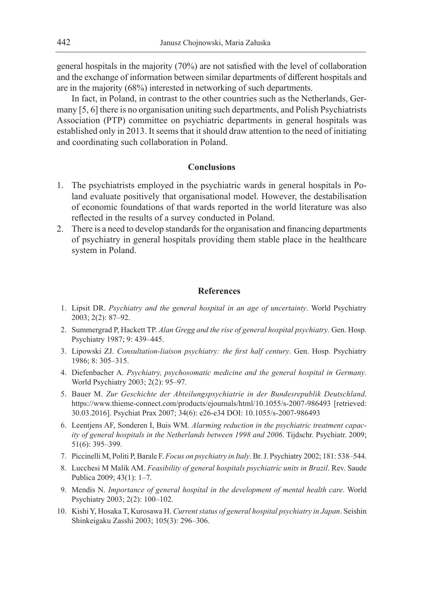general hospitals in the majority (70%) are not satisfied with the level of collaboration and the exchange of information between similar departments of different hospitals and are in the majority (68%) interested in networking of such departments.

In fact, in Poland, in contrast to the other countries such as the Netherlands, Germany [5, 6] there is no organisation uniting such departments, and Polish Psychiatrists Association (PTP) committee on psychiatric departments in general hospitals was established only in 2013. It seems that it should draw attention to the need of initiating and coordinating such collaboration in Poland.

# **Conclusions**

- 1. The psychiatrists employed in the psychiatric wards in general hospitals in Poland evaluate positively that organisational model. However, the destabilisation of economic foundations of that wards reported in the world literature was also reflected in the results of a survey conducted in Poland.
- 2. There is a need to develop standards for the organisation and financing departments of psychiatry in general hospitals providing them stable place in the healthcare system in Poland.

#### **References**

- 1. Lipsit DR. *Psychiatry and the general hospital in an age of uncertainty*. World Psychiatry 2003; 2(2): 87–92.
- 2. Summergrad P, Hackett TP. *Alan Gregg and the rise of general hospital psychiatry*. Gen. Hosp. Psychiatry 1987; 9: 439–445.
- 3. Lipowski ZJ. *Consultation-liaison psychiatry: the first half century*. Gen. Hosp. Psychiatry 1986; 8: 305–315.
- 4. Diefenbacher A. *Psychiatry, psychosomatic medicine and the general hospital in Germany*. World Psychiatry 2003; 2(2): 95–97.
- 5. Bauer M. *Zur Geschichte der Abteilungspsychiatrie in der Bundesrepublik Deutschland*. https://www.thieme-connect.com/products/ejournals/html/10.1055/s-2007-986493 [retrieved: 30.03.2016]. Psychiat Prax 2007; 34(6): e26-e34 DOI: 10.1055/s-2007-986493
- 6. Leentjens AF, Sonderen I, Buis WM. *Alarming reduction in the psychiatric treatment capacity of general hospitals in the Netherlands between 1998 and 2006*. Tijdschr. Psychiatr. 2009; 51(6): 395–399.
- 7. Piccinelli M, Politi P, Barale F. *Focus on psychiatry in Italy*. Br. J. Psychiatry 2002; 181: 538–544.
- 8. Lucchesi M Malik AM. *Feasibility of general hospitals psychiatric units in Brazil*. Rev. Saude Publica 2009; 43(1): 1–7.
- 9. Mendis N. *Importance of general hospital in the development of mental health care*. World Psychiatry 2003; 2(2): 100–102.
- 10. Kishi Y, Hosaka T, Kurosawa H. *Current status of general hospital psychiatry in Japan*. Seishin Shinkeigaku Zasshi 2003; 105(3): 296–306.